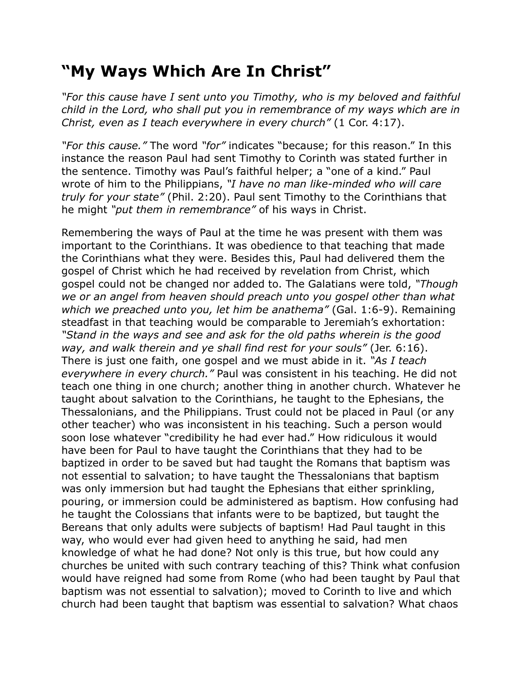## **"My Ways Which Are In Christ"**

*"For this cause have I sent unto you Timothy, who is my beloved and faithful child in the Lord, who shall put you in remembrance of my ways which are in Christ, even as I teach everywhere in every church"* (1 Cor. 4:17).

*"For this cause."* The word *"for"* indicates "because; for this reason." In this instance the reason Paul had sent Timothy to Corinth was stated further in the sentence. Timothy was Paul's faithful helper; a "one of a kind." Paul wrote of him to the Philippians, *"I have no man like-minded who will care truly for your state"* (Phil. 2:20). Paul sent Timothy to the Corinthians that he might *"put them in remembrance"* of his ways in Christ.

Remembering the ways of Paul at the time he was present with them was important to the Corinthians. It was obedience to that teaching that made the Corinthians what they were. Besides this, Paul had delivered them the gospel of Christ which he had received by revelation from Christ, which gospel could not be changed nor added to. The Galatians were told, *"Though we or an angel from heaven should preach unto you gospel other than what which we preached unto you, let him be anathema"* (Gal. 1:6-9). Remaining steadfast in that teaching would be comparable to Jeremiah's exhortation: *"Stand in the ways and see and ask for the old paths wherein is the good way, and walk therein and ye shall find rest for your souls"* (Jer. 6:16). There is just one faith, one gospel and we must abide in it. *"As I teach everywhere in every church."* Paul was consistent in his teaching. He did not teach one thing in one church; another thing in another church. Whatever he taught about salvation to the Corinthians, he taught to the Ephesians, the Thessalonians, and the Philippians. Trust could not be placed in Paul (or any other teacher) who was inconsistent in his teaching. Such a person would soon lose whatever "credibility he had ever had." How ridiculous it would have been for Paul to have taught the Corinthians that they had to be baptized in order to be saved but had taught the Romans that baptism was not essential to salvation; to have taught the Thessalonians that baptism was only immersion but had taught the Ephesians that either sprinkling, pouring, or immersion could be administered as baptism. How confusing had he taught the Colossians that infants were to be baptized, but taught the Bereans that only adults were subjects of baptism! Had Paul taught in this way, who would ever had given heed to anything he said, had men knowledge of what he had done? Not only is this true, but how could any churches be united with such contrary teaching of this? Think what confusion would have reigned had some from Rome (who had been taught by Paul that baptism was not essential to salvation); moved to Corinth to live and which church had been taught that baptism was essential to salvation? What chaos